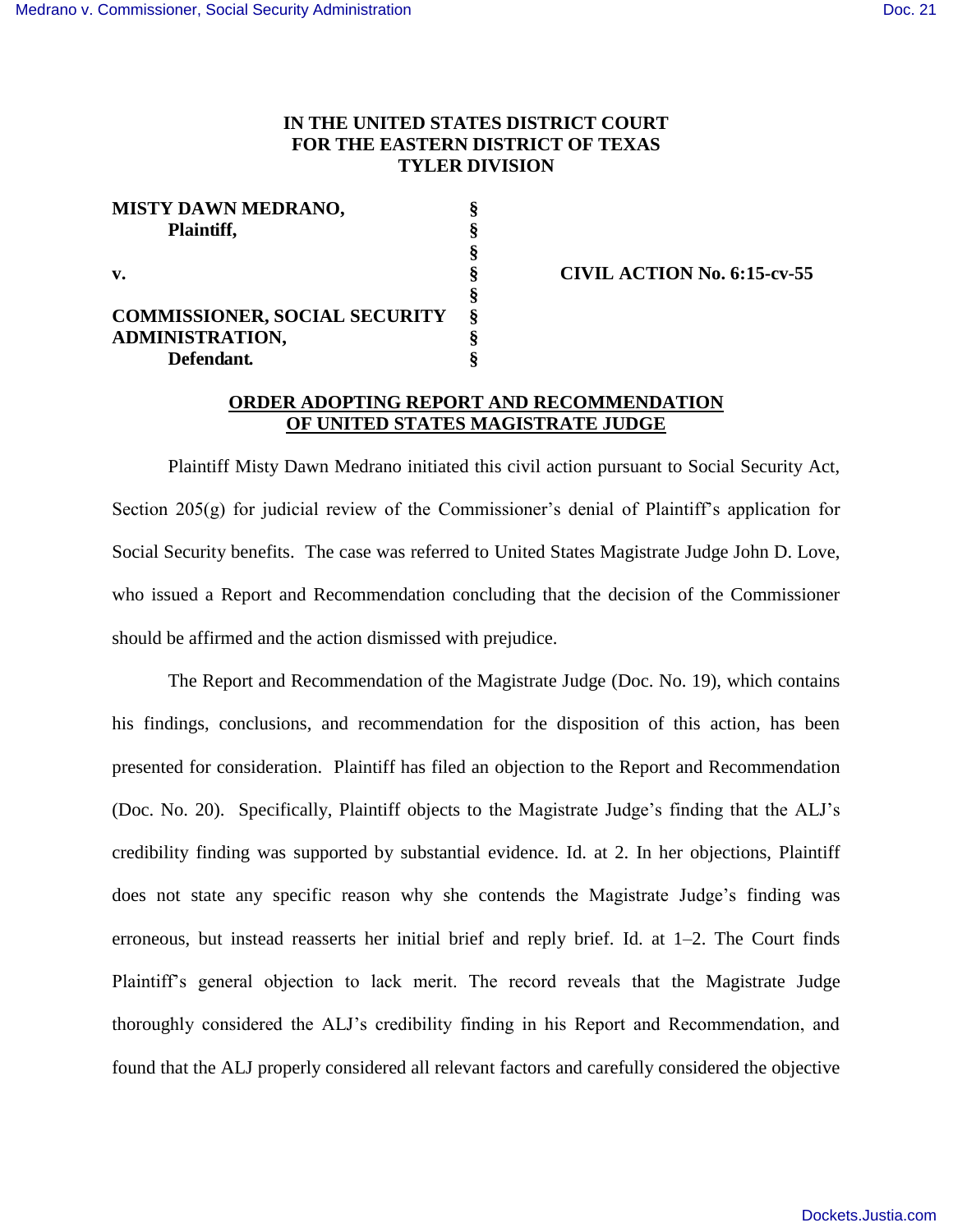## **IN THE UNITED STATES DISTRICT COURT FOR THE EASTERN DISTRICT OF TEXAS TYLER DIVISION**

| <b>MISTY DAWN MEDRANO,</b>           |   |
|--------------------------------------|---|
| Plaintiff,                           |   |
|                                      |   |
| v.                                   |   |
|                                      |   |
| <b>COMMISSIONER, SOCIAL SECURITY</b> | 8 |
| ADMINISTRATION,                      |   |
| Defendant.                           |   |

**v. § CIVIL ACTION No. 6:15-cv-55** 

## **ORDER ADOPTING REPORT AND RECOMMENDATION OF UNITED STATES MAGISTRATE JUDGE**

 Plaintiff Misty Dawn Medrano initiated this civil action pursuant to Social Security Act, Section 205(g) for judicial review of the Commissioner's denial of Plaintiff's application for Social Security benefits. The case was referred to United States Magistrate Judge John D. Love, who issued a Report and Recommendation concluding that the decision of the Commissioner should be affirmed and the action dismissed with prejudice.

 The Report and Recommendation of the Magistrate Judge (Doc. No. 19), which contains his findings, conclusions, and recommendation for the disposition of this action, has been presented for consideration. Plaintiff has filed an objection to the Report and Recommendation (Doc. No. 20). Specifically, Plaintiff objects to the Magistrate Judge's finding that the ALJ's credibility finding was supported by substantial evidence. Id. at 2. In her objections, Plaintiff does not state any specific reason why she contends the Magistrate Judge's finding was erroneous, but instead reasserts her initial brief and reply brief. Id. at 1–2. The Court finds Plaintiff's general objection to lack merit. The record reveals that the Magistrate Judge thoroughly considered the ALJ's credibility finding in his Report and Recommendation, and found that the ALJ properly considered all relevant factors and carefully considered the objective